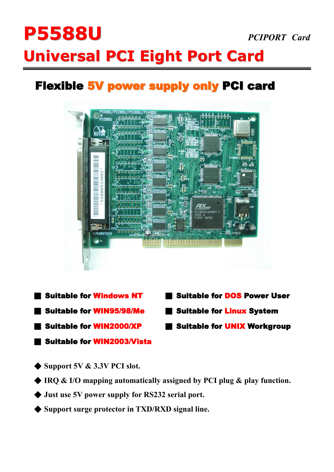# **P5588U** *PCIPORT Card*  **Universal PCI Eight Port Card**

## **Flexible 5V power supply only PCI card**



- ■ **Suitable for Windows NT** ■ **Suitable for DOS Power User**
- ■ **Suitable for WIN95/98/Me** ■ **Suitable for Linux System**
- ■ **Suitable for WIN2000/XP** ■ **Suitable for UNIX Workgroup**
- ■ **Suitable for WIN2003/Vista**
- 
- 
- ◆ **Support 5V & 3.3V PCI slot.**
- ◆ **IRQ & I/O mapping automatically assigned by PCI plug & play function.**
- ◆ **Just use 5V power supply for RS232 serial port.**
- ◆ **Support surge protector in TXD/RXD signal line.**